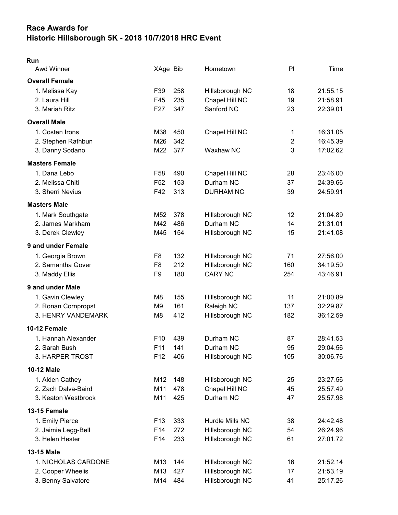## Race Awards for Historic Hillsborough 5K - 2018 10/7/2018 HRC Event

## Run

| <b>Awd Winner</b>     | XAge Bib        |     | Hometown         | PI             | Time     |
|-----------------------|-----------------|-----|------------------|----------------|----------|
| <b>Overall Female</b> |                 |     |                  |                |          |
| 1. Melissa Kay        | F39             | 258 | Hillsborough NC  | 18             | 21:55.15 |
| 2. Laura Hill         | F45             | 235 | Chapel Hill NC   | 19             | 21:58.91 |
| 3. Mariah Ritz        | F <sub>27</sub> | 347 | Sanford NC       | 23             | 22:39.01 |
| <b>Overall Male</b>   |                 |     |                  |                |          |
| 1. Costen Irons       | M38             | 450 | Chapel Hill NC   | 1              | 16:31.05 |
| 2. Stephen Rathbun    | M26             | 342 |                  | $\overline{2}$ | 16:45.39 |
| 3. Danny Sodano       | M22             | 377 | Waxhaw NC        | 3              | 17:02.62 |
| <b>Masters Female</b> |                 |     |                  |                |          |
| 1. Dana Lebo          | F <sub>58</sub> | 490 | Chapel Hill NC   | 28             | 23:46.00 |
| 2. Melissa Chiti      | F <sub>52</sub> | 153 | Durham NC        | 37             | 24:39.66 |
| 3. Sherri Nevius      | F42             | 313 | <b>DURHAM NC</b> | 39             | 24:59.91 |
| <b>Masters Male</b>   |                 |     |                  |                |          |
| 1. Mark Southgate     | M52             | 378 | Hillsborough NC  | 12             | 21:04.89 |
| 2. James Markham      | M42             | 486 | Durham NC        | 14             | 21:31.01 |
| 3. Derek Clewley      | M45             | 154 | Hillsborough NC  | 15             | 21:41.08 |
| 9 and under Female    |                 |     |                  |                |          |
| 1. Georgia Brown      | F <sub>8</sub>  | 132 | Hillsborough NC  | 71             | 27:56.00 |
| 2. Samantha Gover     | F <sub>8</sub>  | 212 | Hillsborough NC  | 160            | 34:19.50 |
| 3. Maddy Ellis        | F9              | 180 | <b>CARY NC</b>   | 254            | 43:46.91 |
| 9 and under Male      |                 |     |                  |                |          |
| 1. Gavin Clewley      | M <sub>8</sub>  | 155 | Hillsborough NC  | 11             | 21:00.89 |
| 2. Ronan Cornpropst   | M9              | 161 | Raleigh NC       | 137            | 32:29.87 |
| 3. HENRY VANDEMARK    | M8              | 412 | Hillsborough NC  | 182            | 36:12.59 |
| 10-12 Female          |                 |     |                  |                |          |
| 1. Hannah Alexander   | F <sub>10</sub> | 439 | Durham NC        | 87             | 28:41.53 |
| 2. Sarah Bush         | F11             | 141 | Durham NC        | 95             | 29:04.56 |
| 3. HARPER TROST       | F12             | 406 | Hillsborough NC  | 105            | 30:06.76 |
| <b>10-12 Male</b>     |                 |     |                  |                |          |
| 1. Alden Cathey       | M12             | 148 | Hillsborough NC  | 25             | 23:27.56 |
| 2. Zach Dalva-Baird   | M11             | 478 | Chapel Hill NC   | 45             | 25:57.49 |
| 3. Keaton Westbrook   | M11             | 425 | Durham NC        | 47             | 25:57.98 |
| 13-15 Female          |                 |     |                  |                |          |
| 1. Emily Pierce       | F <sub>13</sub> | 333 | Hurdle Mills NC  | 38             | 24:42.48 |
| 2. Jaimie Legg-Bell   | F14             | 272 | Hillsborough NC  | 54             | 26:24.96 |
| 3. Helen Hester       | F14             | 233 | Hillsborough NC  | 61             | 27:01.72 |
| 13-15 Male            |                 |     |                  |                |          |
| 1. NICHOLAS CARDONE   | M13             | 144 | Hillsborough NC  | 16             | 21:52.14 |
| 2. Cooper Wheelis     | M13             | 427 | Hillsborough NC  | 17             | 21:53.19 |
| 3. Benny Salvatore    | M14             | 484 | Hillsborough NC  | 41             | 25:17.26 |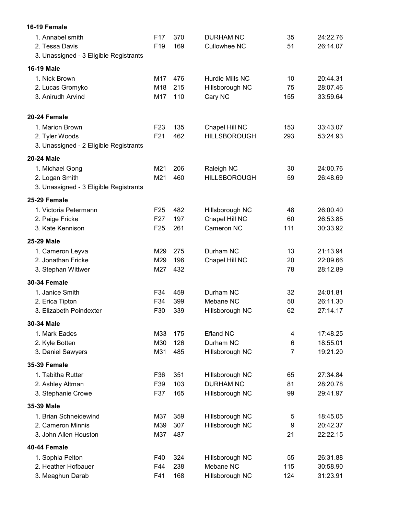| 16-19 Female                           |                 |     |                     |                |          |
|----------------------------------------|-----------------|-----|---------------------|----------------|----------|
| 1. Annabel smith                       | F <sub>17</sub> | 370 | <b>DURHAM NC</b>    | 35             | 24:22.76 |
| 2. Tessa Davis                         | F <sub>19</sub> | 169 | <b>Cullowhee NC</b> | 51             | 26:14.07 |
| 3. Unassigned - 3 Eligible Registrants |                 |     |                     |                |          |
| <b>16-19 Male</b>                      |                 |     |                     |                |          |
| 1. Nick Brown                          | M17             | 476 | Hurdle Mills NC     | 10             | 20:44.31 |
| 2. Lucas Gromyko                       | M18             | 215 | Hillsborough NC     | 75             | 28:07.46 |
| 3. Anirudh Arvind                      | M17             | 110 | Cary NC             | 155            | 33:59.64 |
| 20-24 Female                           |                 |     |                     |                |          |
| 1. Marion Brown                        | F <sub>23</sub> | 135 | Chapel Hill NC      | 153            | 33:43.07 |
| 2. Tyler Woods                         | F21             | 462 | <b>HILLSBOROUGH</b> | 293            | 53:24.93 |
| 3. Unassigned - 2 Eligible Registrants |                 |     |                     |                |          |
| <b>20-24 Male</b>                      |                 |     |                     |                |          |
| 1. Michael Gong                        | M21             | 206 | Raleigh NC          | 30             | 24:00.76 |
| 2. Logan Smith                         | M21             | 460 | <b>HILLSBOROUGH</b> | 59             | 26:48.69 |
| 3. Unassigned - 3 Eligible Registrants |                 |     |                     |                |          |
| 25-29 Female                           |                 |     |                     |                |          |
| 1. Victoria Petermann                  | F <sub>25</sub> | 482 | Hillsborough NC     | 48             | 26:00.40 |
| 2. Paige Fricke                        | F <sub>27</sub> | 197 | Chapel Hill NC      | 60             | 26:53.85 |
| 3. Kate Kennison                       | F <sub>25</sub> | 261 | Cameron NC          | 111            | 30:33.92 |
| 25-29 Male                             |                 |     |                     |                |          |
| 1. Cameron Leyva                       | M29             | 275 | Durham NC           | 13             | 21:13.94 |
| 2. Jonathan Fricke                     | M29             | 196 | Chapel Hill NC      | 20             | 22:09.66 |
| 3. Stephan Wittwer                     | M27             | 432 |                     | 78             | 28:12.89 |
| <b>30-34 Female</b>                    |                 |     |                     |                |          |
| 1. Janice Smith                        | F34             | 459 | Durham NC           | 32             | 24:01.81 |
| 2. Erica Tipton                        | F34             | 399 | Mebane NC           | 50             | 26:11.30 |
| 3. Elizabeth Poindexter                | F30             | 339 | Hillsborough NC     | 62             | 27:14.17 |
| 30-34 Male                             |                 |     |                     |                |          |
| 1. Mark Eades                          | M33             | 175 | <b>Efland NC</b>    | 4              | 17:48.25 |
| 2. Kyle Botten                         | M30             | 126 | Durham NC           | 6              | 18:55.01 |
| 3. Daniel Sawyers                      | M31             | 485 | Hillsborough NC     | $\overline{7}$ | 19:21.20 |
| <b>35-39 Female</b>                    |                 |     |                     |                |          |
| 1. Tabitha Rutter                      | F36             | 351 | Hillsborough NC     | 65             | 27:34.84 |
| 2. Ashley Altman                       | F39             | 103 | <b>DURHAM NC</b>    | 81             | 28:20.78 |
| 3. Stephanie Crowe                     | F37             | 165 | Hillsborough NC     | 99             | 29:41.97 |
| 35-39 Male                             |                 |     |                     |                |          |
| 1. Brian Schneidewind                  | M37             | 359 | Hillsborough NC     | 5              | 18:45.05 |
| 2. Cameron Minnis                      | M39             | 307 | Hillsborough NC     | 9              | 20:42.37 |
| 3. John Allen Houston                  | M37             | 487 |                     | 21             | 22:22.15 |
| 40-44 Female                           |                 |     |                     |                |          |
| 1. Sophia Pelton                       | F40             | 324 | Hillsborough NC     | 55             | 26:31.88 |
| 2. Heather Hofbauer                    | F44             | 238 | Mebane NC           | 115            | 30:58.90 |
| 3. Meaghun Darab                       | F41             | 168 | Hillsborough NC     | 124            | 31:23.91 |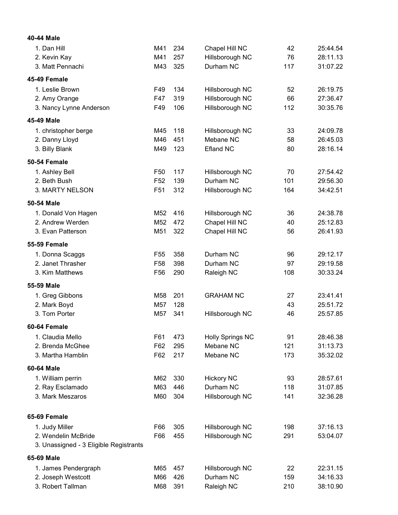| 40-44 Male                             |                 |     |                         |     |          |
|----------------------------------------|-----------------|-----|-------------------------|-----|----------|
| 1. Dan Hill                            | M41             | 234 | Chapel Hill NC          | 42  | 25:44.54 |
| 2. Kevin Kay                           | M41             | 257 | Hillsborough NC         | 76  | 28:11.13 |
| 3. Matt Pennachi                       | M43             | 325 | Durham NC               | 117 | 31:07.22 |
| 45-49 Female                           |                 |     |                         |     |          |
| 1. Leslie Brown                        | F49             | 134 | Hillsborough NC         | 52  | 26:19.75 |
| 2. Amy Orange                          | F47             | 319 | Hillsborough NC         | 66  | 27:36.47 |
| 3. Nancy Lynne Anderson                | F49             | 106 | Hillsborough NC         | 112 | 30:35.76 |
| 45-49 Male                             |                 |     |                         |     |          |
| 1. christopher berge                   | M45             | 118 | Hillsborough NC         | 33  | 24:09.78 |
| 2. Danny Lloyd                         | M46             | 451 | Mebane NC               | 58  | 26:45.03 |
| 3. Billy Blank                         | M49             | 123 | Efland NC               | 80  | 28:16.14 |
| 50-54 Female                           |                 |     |                         |     |          |
| 1. Ashley Bell                         | F <sub>50</sub> | 117 | Hillsborough NC         | 70  | 27:54.42 |
| 2. Beth Bush                           | F <sub>52</sub> | 139 | Durham NC               | 101 | 29:56.30 |
| 3. MARTY NELSON                        | F <sub>51</sub> | 312 | Hillsborough NC         | 164 | 34:42.51 |
| 50-54 Male                             |                 |     |                         |     |          |
| 1. Donald Von Hagen                    | M <sub>52</sub> | 416 | Hillsborough NC         | 36  | 24:38.78 |
| 2. Andrew Werden                       | M <sub>52</sub> | 472 | Chapel Hill NC          | 40  | 25:12.83 |
| 3. Evan Patterson                      | M51             | 322 | Chapel Hill NC          | 56  | 26:41.93 |
| <b>55-59 Female</b>                    |                 |     |                         |     |          |
| 1. Donna Scaggs                        | F <sub>55</sub> | 358 | Durham NC               | 96  | 29:12.17 |
| 2. Janet Thrasher                      | F <sub>58</sub> | 398 | Durham NC               | 97  | 29:19.58 |
| 3. Kim Matthews                        | F <sub>56</sub> | 290 | Raleigh NC              | 108 | 30:33.24 |
| 55-59 Male                             |                 |     |                         |     |          |
| 1. Greg Gibbons                        | M58             | 201 | <b>GRAHAM NC</b>        | 27  | 23:41.41 |
| 2. Mark Boyd                           | M <sub>57</sub> | 128 |                         | 43  | 25:51.72 |
| 3. Tom Porter                          | M57             | 341 | Hillsborough NC         | 46  | 25:57.85 |
| 60-64 Female                           |                 |     |                         |     |          |
| 1. Claudia Mello                       | F61             | 473 | <b>Holly Springs NC</b> | 91  | 28:46.38 |
| 2. Brenda McGhee                       | F62             | 295 | Mebane NC               | 121 | 31:13.73 |
| 3. Martha Hamblin                      | F62             | 217 | Mebane NC               | 173 | 35:32.02 |
| 60-64 Male                             |                 |     |                         |     |          |
| 1. William perrin                      | M62             | 330 | <b>Hickory NC</b>       | 93  | 28:57.61 |
| 2. Ray Esclamado                       | M63             | 446 | Durham NC               | 118 | 31:07.85 |
| 3. Mark Meszaros                       | M60             | 304 | Hillsborough NC         | 141 | 32:36.28 |
| 65-69 Female                           |                 |     |                         |     |          |
| 1. Judy Miller                         | F66             | 305 | Hillsborough NC         | 198 | 37:16.13 |
| 2. Wendelin McBride                    | F66             | 455 | Hillsborough NC         | 291 | 53:04.07 |
| 3. Unassigned - 3 Eligible Registrants |                 |     |                         |     |          |
| 65-69 Male                             |                 |     |                         |     |          |
| 1. James Pendergraph                   | M65             | 457 | Hillsborough NC         | 22  | 22:31.15 |
| 2. Joseph Westcott                     | M66             | 426 | Durham NC               | 159 | 34:16.33 |
| 3. Robert Tallman                      | M68             | 391 | Raleigh NC              | 210 | 38:10.90 |
|                                        |                 |     |                         |     |          |